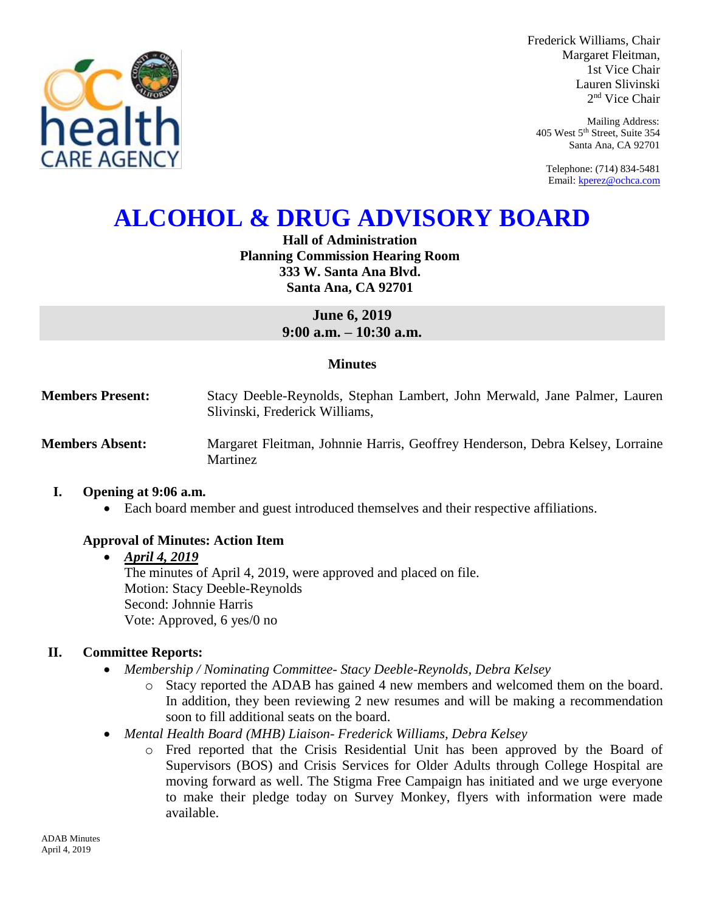

Frederick Williams, Chair Margaret Fleitman, 1st Vice Chair Lauren Slivinski 2 nd Vice Chair

Mailing Address: 405 West 5th Street, Suite 354 Santa Ana, CA 92701

Telephone: (714) 834-5481 Email[: kperez@ochca.com](mailto:kperez@ochca.com)

# **ALCOHOL & DRUG ADVISORY BOARD**

## **Hall of Administration Planning Commission Hearing Room 333 W. Santa Ana Blvd. Santa Ana, CA 92701**

**June 6, 2019 9:00 a.m. – 10:30 a.m.** 

## **Minutes**

**Members Present:** Stacy Deeble-Reynolds, Stephan Lambert, John Merwald, Jane Palmer, Lauren Slivinski, Frederick Williams,

**Members Absent:** Margaret Fleitman, Johnnie Harris, Geoffrey Henderson, Debra Kelsey, Lorraine Martinez

## **I. Opening at 9:06 a.m.**

Each board member and guest introduced themselves and their respective affiliations.

## **Approval of Minutes: Action Item**

## *April 4, 2019*

The minutes of April 4, 2019, were approved and placed on file. Motion: Stacy Deeble-Reynolds Second: Johnnie Harris Vote: Approved, 6 yes/0 no

## **II. Committee Reports:**

- *Membership / Nominating Committee- Stacy Deeble-Reynolds, Debra Kelsey* 
	- o Stacy reported the ADAB has gained 4 new members and welcomed them on the board. In addition, they been reviewing 2 new resumes and will be making a recommendation soon to fill additional seats on the board.
- *Mental Health Board (MHB) Liaison- Frederick Williams, Debra Kelsey* 
	- o Fred reported that the Crisis Residential Unit has been approved by the Board of Supervisors (BOS) and Crisis Services for Older Adults through College Hospital are moving forward as well. The Stigma Free Campaign has initiated and we urge everyone to make their pledge today on Survey Monkey, flyers with information were made available.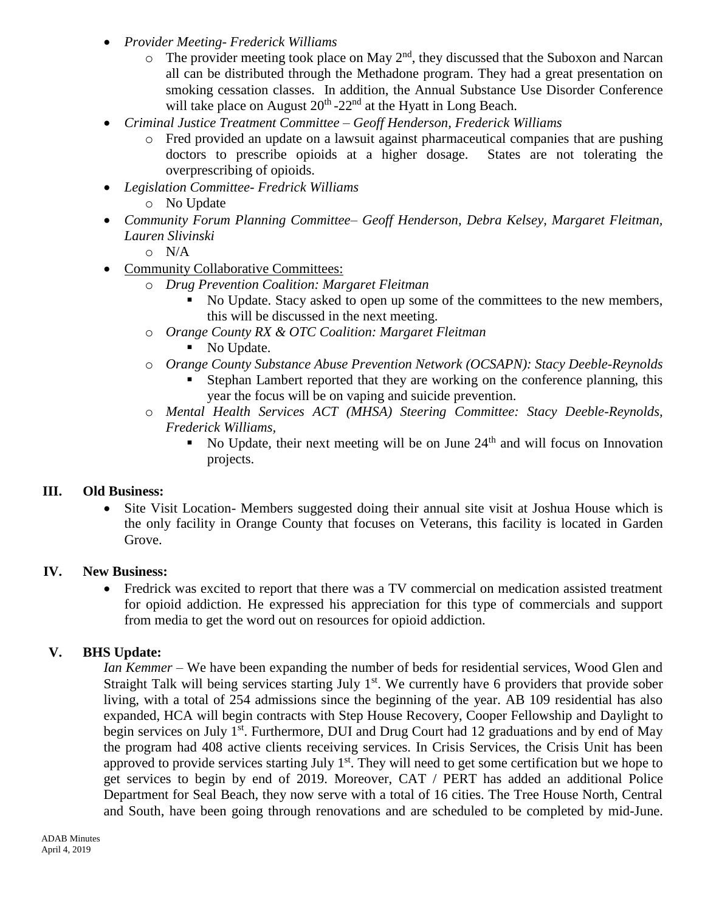- *Provider Meeting- Frederick Williams*
	- $\circ$  The provider meeting took place on May 2<sup>nd</sup>, they discussed that the Suboxon and Narcan all can be distributed through the Methadone program. They had a great presentation on smoking cessation classes. In addition, the Annual Substance Use Disorder Conference will take place on August  $20<sup>th</sup> - 22<sup>nd</sup>$  at the Hyatt in Long Beach.
- *Criminal Justice Treatment Committee – Geoff Henderson, Frederick Williams*
	- o Fred provided an update on a lawsuit against pharmaceutical companies that are pushing doctors to prescribe opioids at a higher dosage. States are not tolerating the overprescribing of opioids.
- *Legislation Committee- Fredrick Williams*
	- o No Update
- *Community Forum Planning Committee– Geoff Henderson, Debra Kelsey, Margaret Fleitman, Lauren Slivinski*
	- o N/A
- Community Collaborative Committees:
	- o *Drug Prevention Coalition: Margaret Fleitman*
		- No Update. Stacy asked to open up some of the committees to the new members, this will be discussed in the next meeting.
	- o *Orange County RX & OTC Coalition: Margaret Fleitman*
		- No Update.
	- o *Orange County Substance Abuse Prevention Network (OCSAPN): Stacy Deeble-Reynolds*
		- Stephan Lambert reported that they are working on the conference planning, this year the focus will be on vaping and suicide prevention.
	- o *Mental Health Services ACT (MHSA) Steering Committee: Stacy Deeble-Reynolds, Frederick Williams,* 
		- No Update, their next meeting will be on June  $24<sup>th</sup>$  and will focus on Innovation projects.

## **III. Old Business:**

• Site Visit Location- Members suggested doing their annual site visit at Joshua House which is the only facility in Orange County that focuses on Veterans, this facility is located in Garden Grove.

## **IV. New Business:**

 Fredrick was excited to report that there was a TV commercial on medication assisted treatment for opioid addiction. He expressed his appreciation for this type of commercials and support from media to get the word out on resources for opioid addiction.

## **V. BHS Update:**

*Ian Kemmer –* We have been expanding the number of beds for residential services, Wood Glen and Straight Talk will being services starting July  $1<sup>st</sup>$ . We currently have 6 providers that provide sober living, with a total of 254 admissions since the beginning of the year. AB 109 residential has also expanded, HCA will begin contracts with Step House Recovery, Cooper Fellowship and Daylight to begin services on July 1<sup>st</sup>. Furthermore, DUI and Drug Court had 12 graduations and by end of May the program had 408 active clients receiving services. In Crisis Services, the Crisis Unit has been approved to provide services starting July 1<sup>st</sup>. They will need to get some certification but we hope to get services to begin by end of 2019. Moreover, CAT / PERT has added an additional Police Department for Seal Beach, they now serve with a total of 16 cities. The Tree House North, Central and South, have been going through renovations and are scheduled to be completed by mid-June.